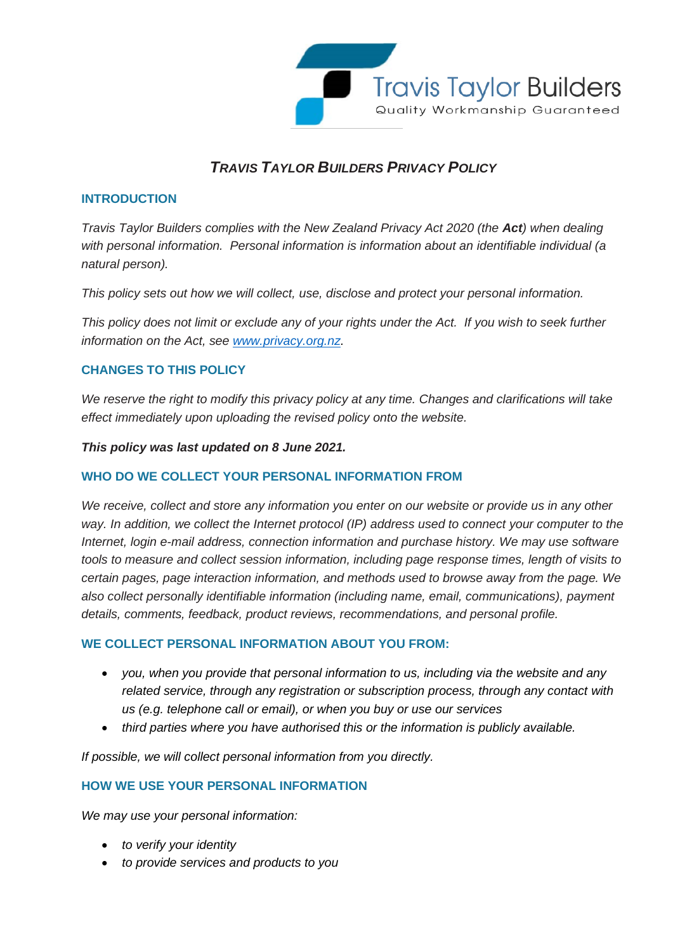

# *TRAVIS TAYLOR BUILDERS PRIVACY POLICY*

## **INTRODUCTION**

*Travis Taylor Builders complies with the New Zealand Privacy Act 2020 (the Act) when dealing with personal information. Personal information is information about an identifiable individual (a natural person).*

*This policy sets out how we will collect, use, disclose and protect your personal information.*

*This policy does not limit or exclude any of your rights under the Act. If you wish to seek further information on the Act, see [www.privacy.org.nz.](http://www.privacy.org.nz/)*

# **CHANGES TO THIS POLICY**

*We reserve the right to modify this privacy policy at any time. Changes and clarifications will take effect immediately upon uploading the revised policy onto the website.*

*This policy was last updated on 8 June 2021.*

#### **WHO DO WE COLLECT YOUR PERSONAL INFORMATION FROM**

*We receive, collect and store any information you enter on our website or provide us in any other*  way. In addition, we collect the Internet protocol (IP) address used to connect your computer to the *Internet, login e-mail address, connection information and purchase history. We may use software tools to measure and collect session information, including page response times, length of visits to certain pages, page interaction information, and methods used to browse away from the page. We also collect personally identifiable information (including name, email, communications), payment details, comments, feedback, product reviews, recommendations, and personal profile.*

#### **WE COLLECT PERSONAL INFORMATION ABOUT YOU FROM:**

- *you, when you provide that personal information to us, including via the website and any related service, through any registration or subscription process, through any contact with us (e.g. telephone call or email), or when you buy or use our services*
- *third parties where you have authorised this or the information is publicly available.*

*If possible, we will collect personal information from you directly.* 

#### **HOW WE USE YOUR PERSONAL INFORMATION**

*We may use your personal information:* 

- *to verify your identity*
- *to provide services and products to you*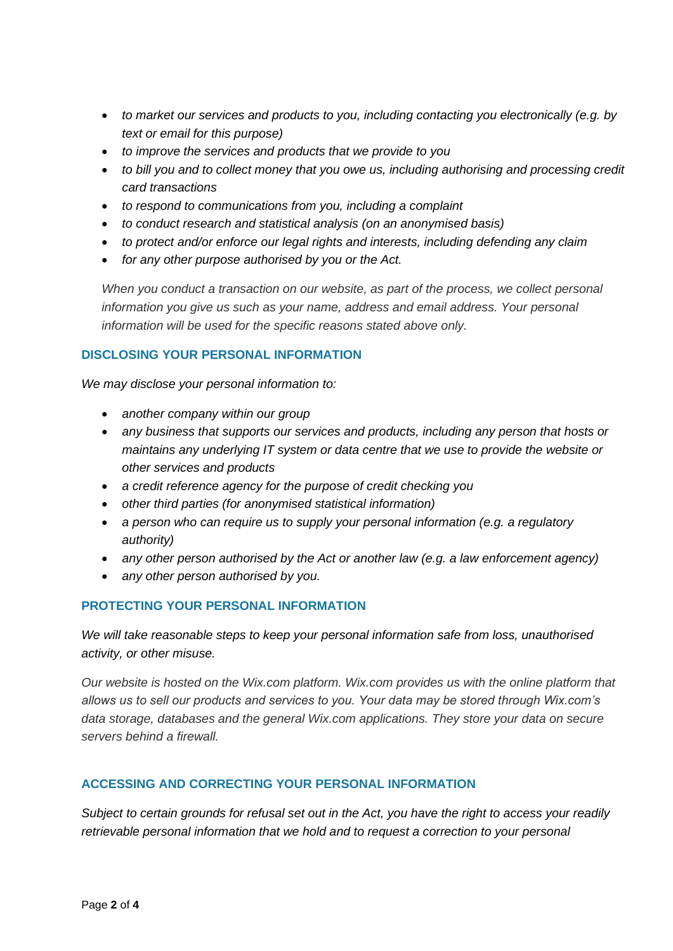- *to market our services and products to you, including contacting you electronically (e.g. by text or email for this purpose)*
- *to improve the services and products that we provide to you*
- *to bill you and to collect money that you owe us, including authorising and processing credit card transactions*
- *to respond to communications from you, including a complaint*
- *to conduct research and statistical analysis (on an anonymised basis)*
- *to protect and/or enforce our legal rights and interests, including defending any claim*
- *for any other purpose authorised by you or the Act.*

*When you conduct a transaction on our website, as part of the process, we collect personal information you give us such as your name, address and email address. Your personal information will be used for the specific reasons stated above only.*

## **DISCLOSING YOUR PERSONAL INFORMATION**

*We may disclose your personal information to:* 

- *another company within our group*
- *any business that supports our services and products, including any person that hosts or maintains any underlying IT system or data centre that we use to provide the website or other services and products*
- *a credit reference agency for the purpose of credit checking you*
- *other third parties (for anonymised statistical information)*
- *a person who can require us to supply your personal information (e.g. a regulatory authority)*
- *any other person authorised by the Act or another law (e.g. a law enforcement agency)*
- *any other person authorised by you.*

# **PROTECTING YOUR PERSONAL INFORMATION**

*We will take reasonable steps to keep your personal information safe from loss, unauthorised activity, or other misuse.*

*Our website is hosted on the Wix.com platform. Wix.com provides us with the online platform that allows us to sell our products and services to you. Your data may be stored through Wix.com's data storage, databases and the general Wix.com applications. They store your data on secure servers behind a firewall.*

# **ACCESSING AND CORRECTING YOUR PERSONAL INFORMATION**

*Subject to certain grounds for refusal set out in the Act, you have the right to access your readily retrievable personal information that we hold and to request a correction to your personal*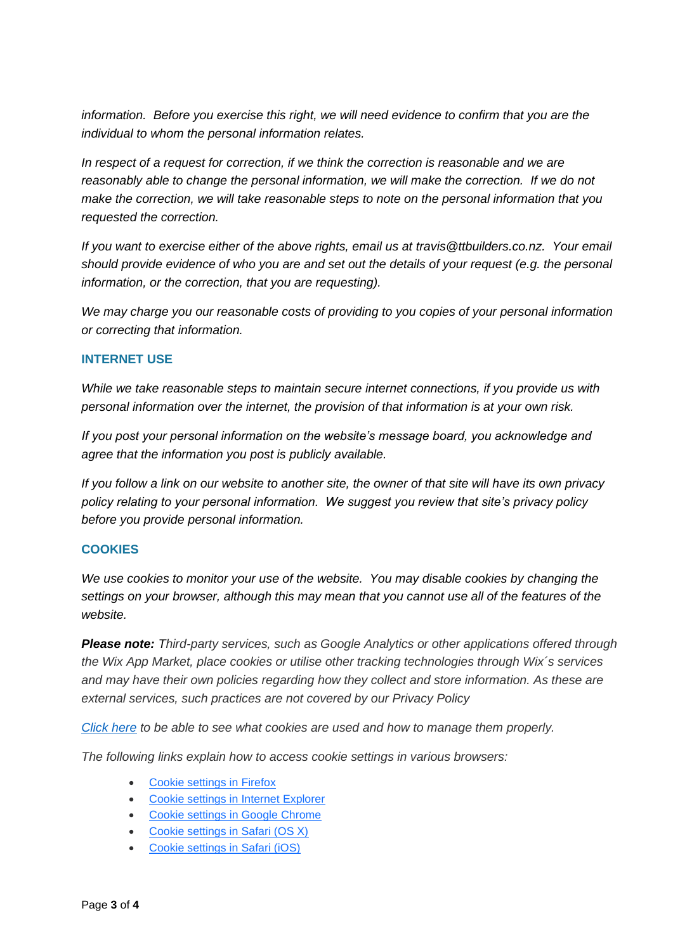*information. Before you exercise this right, we will need evidence to confirm that you are the individual to whom the personal information relates.*

*In respect of a request for correction, if we think the correction is reasonable and we are reasonably able to change the personal information, we will make the correction. If we do not make the correction, we will take reasonable steps to note on the personal information that you requested the correction.*

*If you want to exercise either of the above rights, email us at travis@ttbuilders.co.nz. Your email should provide evidence of who you are and set out the details of your request (e.g. the personal information, or the correction, that you are requesting).*

*We may charge you our reasonable costs of providing to you copies of your personal information or correcting that information.*

## **INTERNET USE**

*While we take reasonable steps to maintain secure internet connections, if you provide us with personal information over the internet, the provision of that information is at your own risk.*

*If you post your personal information on the website's message board, you acknowledge and agree that the information you post is publicly available.*

*If you follow a link on our website to another site, the owner of that site will have its own privacy policy relating to your personal information. We suggest you review that site's privacy policy before you provide personal information.*

#### **COOKIES**

*We use cookies to monitor your use of the website. You may disable cookies by changing the settings on your browser, although this may mean that you cannot use all of the features of the website.* 

*Please note: Third-party services, such as Google Analytics or other applications offered through the Wix App Market, place cookies or utilise other tracking technologies through Wix´s services and may have their own policies regarding how they collect and store information. As these are external services, such practices are not covered by our Privacy Policy*

*[Click here](https://www.allaboutcookies.org/) to be able to see what cookies are used and how to manage them properly.*

*The following links explain how to access cookie settings in various browsers:*

- [Cookie settings in Firefox](http://support.mozilla.com/en-US/kb/Enabling%20and%20disabling%20cookies)
- [Cookie settings in Internet Explorer](https://support.microsoft.com/en-us/help/17442/windows-internet-explorer-delete-manage-cookies)
- Cookie [settings in Google Chrome](http://www.google.com/support/chrome/bin/answer.py?answer=95647)
- [Cookie settings in Safari \(OS X\)](http://support.apple.com/kb/PH17191?viewlocale=en_US&locale=en_US)
- [Cookie settings in Safari \(iOS\)](https://support.apple.com/en-us/HT201265)